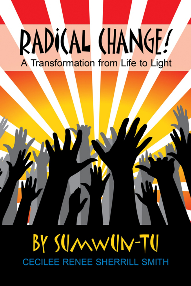# RADI(AL (HANGE! A Transformation from Life to Light

BY SUMWUN-TU EE RENEE SHERRII t smi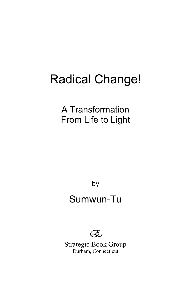## Radical Change!

A Transformation From Life to Light

by

### Sumwun-Tu

*E* 

Strategic Book Group Durham, Connecticut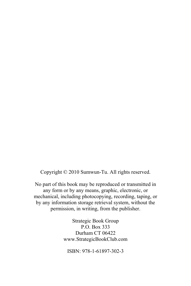Copyright © 2010 Sumwun-Tu. All rights reserved.

No part of this book may be reproduced or transmitted in any form or by any means, graphic, electronic, or mechanical, including photocopying, recording, taping, or by any information storage retrieval system, without the permission, in writing, from the publisher.

> Strategic Book Group P.O. Box 333 Durham CT 06422 www.StrategicBookClub.com

ISBN: 978-1-61897-302-3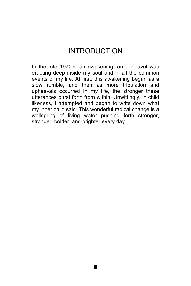#### **INTRODUCTION**

In the late 1970's, an awakening, an upheaval was erupting deep inside my soul and in all the common events of my life. At first, this awakening began as a slow rumble, and then as more tribulation and upheavals occurred in my life, the stronger these utterances burst forth from within. Unwittingly, in child likeness, I attempted and began to write down what my inner child said. This wonderful radical change is a wellspring of living water pushing forth stronger, stronger, bolder, and brighter every day.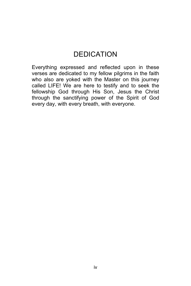#### **DEDICATION**

Everything expressed and reflected upon in these verses are dedicated to my fellow pilgrims in the faith who also are yoked with the Master on this journey called LIFE! We are here to testify and to seek the fellowship God through His Son, Jesus the Christ through the sanctifying power of the Spirit of God every day, with every breath, with everyone.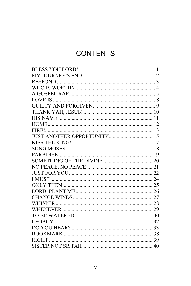#### **CONTENTS**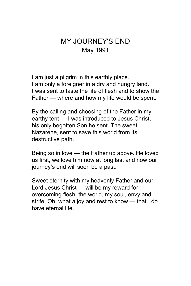#### MY JOURNEY'S END May 1991

I am just a pilgrim in this earthly place. I am only a foreigner in a dry and hungry land. I was sent to taste the life of flesh and to show the Father — where and how my life would be spent.

By the calling and choosing of the Father in my earthy tent — I was introduced to Jesus Christ, his only begotten Son he sent. The sweet Nazarene, sent to save this world from its destructive path.

Being so in love — the Father up above. He loved us first, we love him now at long last and now our journey's end will soon be a past.

Sweet eternity with my heavenly Father and our Lord Jesus Christ — will be my reward for overcoming flesh, the world, my soul, envy and strife. Oh, what a joy and rest to know — that I do have eternal life.